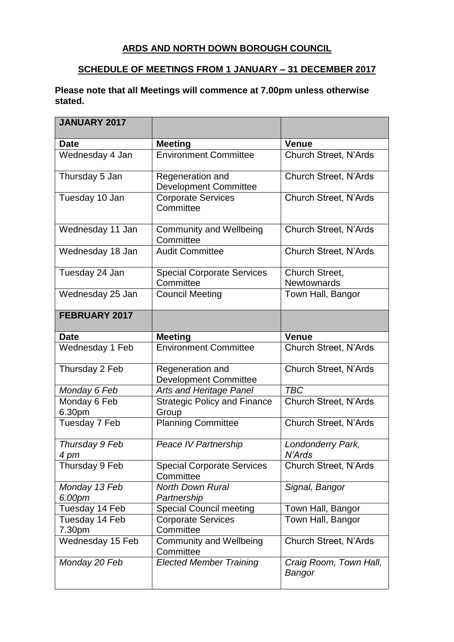## **ARDS AND NORTH DOWN BOROUGH COUNCIL**

## **SCHEDULE OF MEETINGS FROM 1 JANUARY – 31 DECEMBER 2017**

## **Please note that all Meetings will commence at 7.00pm unless otherwise stated.**

| <b>JANUARY 2017</b>      |                                                  |                                  |
|--------------------------|--------------------------------------------------|----------------------------------|
| <b>Date</b>              | <b>Meeting</b>                                   | <b>Venue</b>                     |
| Wednesday 4 Jan          | <b>Environment Committee</b>                     | <b>Church Street, N'Ards</b>     |
| Thursday 5 Jan           | Regeneration and<br><b>Development Committee</b> | <b>Church Street, N'Ards</b>     |
| Tuesday 10 Jan           | <b>Corporate Services</b><br>Committee           | <b>Church Street, N'Ards</b>     |
| Wednesday 11 Jan         | <b>Community and Wellbeing</b><br>Committee      | <b>Church Street, N'Ards</b>     |
| Wednesday 18 Jan         | <b>Audit Committee</b>                           | <b>Church Street, N'Ards</b>     |
| Tuesday 24 Jan           | <b>Special Corporate Services</b><br>Committee   | Church Street,<br>Newtownards    |
| Wednesday 25 Jan         | <b>Council Meeting</b>                           | Town Hall, Bangor                |
| <b>FEBRUARY 2017</b>     |                                                  |                                  |
| <b>Date</b>              | <b>Meeting</b>                                   | <b>Venue</b>                     |
| Wednesday 1 Feb          | <b>Environment Committee</b>                     | <b>Church Street, N'Ards</b>     |
| Thursday 2 Feb           | Regeneration and<br><b>Development Committee</b> | Church Street, N'Ards            |
| Monday 6 Feb             | <b>Arts and Heritage Panel</b>                   | <b>TBC</b>                       |
| Monday 6 Feb<br>6.30pm   | <b>Strategic Policy and Finance</b><br>Group     | <b>Church Street, N'Ards</b>     |
| Tuesday 7 Feb            | <b>Planning Committee</b>                        | <b>Church Street, N'Ards</b>     |
| Thursday 9 Feb<br>4 pm   | Peace IV Partnership                             | Londonderry Park,<br>N'Ards      |
| Thursday 9 Feb           | <b>Special Corporate Services</b><br>Committee   | <b>Church Street, N'Ards</b>     |
| Monday 13 Feb<br>6.00pm  | <b>North Down Rural</b><br>Partnership           | Signal, Bangor                   |
| Tuesday 14 Feb           | <b>Special Council meeting</b>                   | Town Hall, Bangor                |
| Tuesday 14 Feb<br>7.30pm | <b>Corporate Services</b><br>Committee           | Town Hall, Bangor                |
| Wednesday 15 Feb         | <b>Community and Wellbeing</b><br>Committee      | <b>Church Street, N'Ards</b>     |
| Monday 20 Feb            | <b>Elected Member Training</b>                   | Craig Room, Town Hall,<br>Bangor |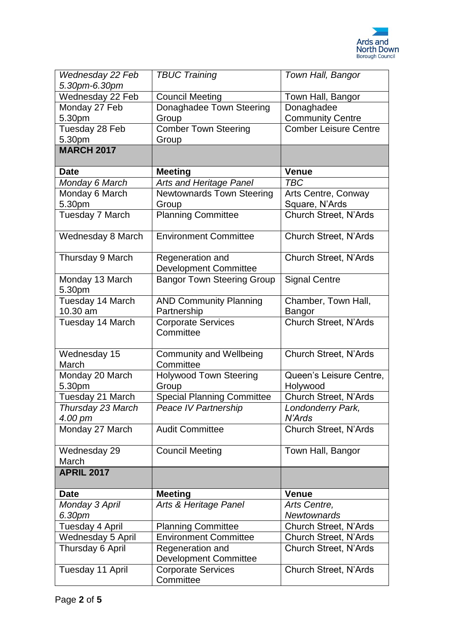

| 5.30pm-6.30pm<br>Wednesday 22 Feb<br><b>Council Meeting</b><br>Town Hall, Bangor<br>Donaghadee Town Steering<br>Monday 27 Feb<br>Donaghadee<br><b>Community Centre</b><br>5.30pm<br>Group<br><b>Comber Town Steering</b><br>Tuesday 28 Feb<br><b>Comber Leisure Centre</b><br>5.30pm<br>Group<br><b>MARCH 2017</b><br><b>Meeting</b><br><b>Venue</b><br><b>Date</b><br>Monday 6 March<br><b>Arts and Heritage Panel</b><br><b>TBC</b><br><b>Newtownards Town Steering</b><br>Monday 6 March<br>Arts Centre, Conway<br>5.30pm<br>Group<br>Square, N'Ards<br><b>Planning Committee</b><br>Tuesday 7 March<br><b>Church Street, N'Ards</b><br>Wednesday 8 March<br><b>Environment Committee</b><br><b>Church Street, N'Ards</b><br>Regeneration and<br>Thursday 9 March<br><b>Church Street, N'Ards</b><br><b>Development Committee</b><br><b>Bangor Town Steering Group</b><br>Monday 13 March<br><b>Signal Centre</b><br>5.30pm<br>Tuesday 14 March<br><b>AND Community Planning</b><br>Chamber, Town Hall,<br>10.30 am<br>Partnership<br>Bangor<br>Church Street, N'Ards<br>Tuesday 14 March<br><b>Corporate Services</b><br>Committee<br>Wednesday 15<br><b>Community and Wellbeing</b><br><b>Church Street, N'Ards</b><br>Committee<br>March<br><b>Holywood Town Steering</b><br>Monday 20 March<br>Queen's Leisure Centre,<br>5.30pm<br>Group<br>Holywood<br>Tuesday 21 March<br><b>Special Planning Committee</b><br>Church Street, N'Ards<br>Thursday 23 March<br>Peace IV Partnership<br>Londonderry Park,<br>N'Ards<br>4.00 pm<br><b>Audit Committee</b><br><b>Church Street, N'Ards</b><br>Monday 27 March<br>Town Hall, Bangor<br><b>Council Meeting</b><br>Wednesday 29<br>March<br><b>APRIL 2017</b><br><b>Meeting</b><br><b>Venue</b><br><b>Date</b><br>Arts & Heritage Panel<br>Monday 3 April<br>Arts Centre,<br>6.30pm<br>Newtownards<br>Tuesday 4 April<br><b>Planning Committee</b><br><b>Church Street, N'Ards</b> | Wednesday 22 Feb  | <b>TBUC Training</b>         | Town Hall, Bangor     |
|--------------------------------------------------------------------------------------------------------------------------------------------------------------------------------------------------------------------------------------------------------------------------------------------------------------------------------------------------------------------------------------------------------------------------------------------------------------------------------------------------------------------------------------------------------------------------------------------------------------------------------------------------------------------------------------------------------------------------------------------------------------------------------------------------------------------------------------------------------------------------------------------------------------------------------------------------------------------------------------------------------------------------------------------------------------------------------------------------------------------------------------------------------------------------------------------------------------------------------------------------------------------------------------------------------------------------------------------------------------------------------------------------------------------------------------------------------------------------------------------------------------------------------------------------------------------------------------------------------------------------------------------------------------------------------------------------------------------------------------------------------------------------------------------------------------------------------------------------------------------------------------------------------------------------------------|-------------------|------------------------------|-----------------------|
|                                                                                                                                                                                                                                                                                                                                                                                                                                                                                                                                                                                                                                                                                                                                                                                                                                                                                                                                                                                                                                                                                                                                                                                                                                                                                                                                                                                                                                                                                                                                                                                                                                                                                                                                                                                                                                                                                                                                      |                   |                              |                       |
|                                                                                                                                                                                                                                                                                                                                                                                                                                                                                                                                                                                                                                                                                                                                                                                                                                                                                                                                                                                                                                                                                                                                                                                                                                                                                                                                                                                                                                                                                                                                                                                                                                                                                                                                                                                                                                                                                                                                      |                   |                              |                       |
|                                                                                                                                                                                                                                                                                                                                                                                                                                                                                                                                                                                                                                                                                                                                                                                                                                                                                                                                                                                                                                                                                                                                                                                                                                                                                                                                                                                                                                                                                                                                                                                                                                                                                                                                                                                                                                                                                                                                      |                   |                              |                       |
|                                                                                                                                                                                                                                                                                                                                                                                                                                                                                                                                                                                                                                                                                                                                                                                                                                                                                                                                                                                                                                                                                                                                                                                                                                                                                                                                                                                                                                                                                                                                                                                                                                                                                                                                                                                                                                                                                                                                      |                   |                              |                       |
|                                                                                                                                                                                                                                                                                                                                                                                                                                                                                                                                                                                                                                                                                                                                                                                                                                                                                                                                                                                                                                                                                                                                                                                                                                                                                                                                                                                                                                                                                                                                                                                                                                                                                                                                                                                                                                                                                                                                      |                   |                              |                       |
|                                                                                                                                                                                                                                                                                                                                                                                                                                                                                                                                                                                                                                                                                                                                                                                                                                                                                                                                                                                                                                                                                                                                                                                                                                                                                                                                                                                                                                                                                                                                                                                                                                                                                                                                                                                                                                                                                                                                      |                   |                              |                       |
|                                                                                                                                                                                                                                                                                                                                                                                                                                                                                                                                                                                                                                                                                                                                                                                                                                                                                                                                                                                                                                                                                                                                                                                                                                                                                                                                                                                                                                                                                                                                                                                                                                                                                                                                                                                                                                                                                                                                      |                   |                              |                       |
|                                                                                                                                                                                                                                                                                                                                                                                                                                                                                                                                                                                                                                                                                                                                                                                                                                                                                                                                                                                                                                                                                                                                                                                                                                                                                                                                                                                                                                                                                                                                                                                                                                                                                                                                                                                                                                                                                                                                      |                   |                              |                       |
|                                                                                                                                                                                                                                                                                                                                                                                                                                                                                                                                                                                                                                                                                                                                                                                                                                                                                                                                                                                                                                                                                                                                                                                                                                                                                                                                                                                                                                                                                                                                                                                                                                                                                                                                                                                                                                                                                                                                      |                   |                              |                       |
|                                                                                                                                                                                                                                                                                                                                                                                                                                                                                                                                                                                                                                                                                                                                                                                                                                                                                                                                                                                                                                                                                                                                                                                                                                                                                                                                                                                                                                                                                                                                                                                                                                                                                                                                                                                                                                                                                                                                      |                   |                              |                       |
|                                                                                                                                                                                                                                                                                                                                                                                                                                                                                                                                                                                                                                                                                                                                                                                                                                                                                                                                                                                                                                                                                                                                                                                                                                                                                                                                                                                                                                                                                                                                                                                                                                                                                                                                                                                                                                                                                                                                      |                   |                              |                       |
|                                                                                                                                                                                                                                                                                                                                                                                                                                                                                                                                                                                                                                                                                                                                                                                                                                                                                                                                                                                                                                                                                                                                                                                                                                                                                                                                                                                                                                                                                                                                                                                                                                                                                                                                                                                                                                                                                                                                      |                   |                              |                       |
|                                                                                                                                                                                                                                                                                                                                                                                                                                                                                                                                                                                                                                                                                                                                                                                                                                                                                                                                                                                                                                                                                                                                                                                                                                                                                                                                                                                                                                                                                                                                                                                                                                                                                                                                                                                                                                                                                                                                      |                   |                              |                       |
|                                                                                                                                                                                                                                                                                                                                                                                                                                                                                                                                                                                                                                                                                                                                                                                                                                                                                                                                                                                                                                                                                                                                                                                                                                                                                                                                                                                                                                                                                                                                                                                                                                                                                                                                                                                                                                                                                                                                      |                   |                              |                       |
|                                                                                                                                                                                                                                                                                                                                                                                                                                                                                                                                                                                                                                                                                                                                                                                                                                                                                                                                                                                                                                                                                                                                                                                                                                                                                                                                                                                                                                                                                                                                                                                                                                                                                                                                                                                                                                                                                                                                      |                   |                              |                       |
|                                                                                                                                                                                                                                                                                                                                                                                                                                                                                                                                                                                                                                                                                                                                                                                                                                                                                                                                                                                                                                                                                                                                                                                                                                                                                                                                                                                                                                                                                                                                                                                                                                                                                                                                                                                                                                                                                                                                      |                   |                              |                       |
|                                                                                                                                                                                                                                                                                                                                                                                                                                                                                                                                                                                                                                                                                                                                                                                                                                                                                                                                                                                                                                                                                                                                                                                                                                                                                                                                                                                                                                                                                                                                                                                                                                                                                                                                                                                                                                                                                                                                      |                   |                              |                       |
|                                                                                                                                                                                                                                                                                                                                                                                                                                                                                                                                                                                                                                                                                                                                                                                                                                                                                                                                                                                                                                                                                                                                                                                                                                                                                                                                                                                                                                                                                                                                                                                                                                                                                                                                                                                                                                                                                                                                      |                   |                              |                       |
|                                                                                                                                                                                                                                                                                                                                                                                                                                                                                                                                                                                                                                                                                                                                                                                                                                                                                                                                                                                                                                                                                                                                                                                                                                                                                                                                                                                                                                                                                                                                                                                                                                                                                                                                                                                                                                                                                                                                      |                   |                              |                       |
|                                                                                                                                                                                                                                                                                                                                                                                                                                                                                                                                                                                                                                                                                                                                                                                                                                                                                                                                                                                                                                                                                                                                                                                                                                                                                                                                                                                                                                                                                                                                                                                                                                                                                                                                                                                                                                                                                                                                      |                   |                              |                       |
|                                                                                                                                                                                                                                                                                                                                                                                                                                                                                                                                                                                                                                                                                                                                                                                                                                                                                                                                                                                                                                                                                                                                                                                                                                                                                                                                                                                                                                                                                                                                                                                                                                                                                                                                                                                                                                                                                                                                      |                   |                              |                       |
|                                                                                                                                                                                                                                                                                                                                                                                                                                                                                                                                                                                                                                                                                                                                                                                                                                                                                                                                                                                                                                                                                                                                                                                                                                                                                                                                                                                                                                                                                                                                                                                                                                                                                                                                                                                                                                                                                                                                      |                   |                              |                       |
|                                                                                                                                                                                                                                                                                                                                                                                                                                                                                                                                                                                                                                                                                                                                                                                                                                                                                                                                                                                                                                                                                                                                                                                                                                                                                                                                                                                                                                                                                                                                                                                                                                                                                                                                                                                                                                                                                                                                      |                   |                              |                       |
|                                                                                                                                                                                                                                                                                                                                                                                                                                                                                                                                                                                                                                                                                                                                                                                                                                                                                                                                                                                                                                                                                                                                                                                                                                                                                                                                                                                                                                                                                                                                                                                                                                                                                                                                                                                                                                                                                                                                      |                   |                              |                       |
|                                                                                                                                                                                                                                                                                                                                                                                                                                                                                                                                                                                                                                                                                                                                                                                                                                                                                                                                                                                                                                                                                                                                                                                                                                                                                                                                                                                                                                                                                                                                                                                                                                                                                                                                                                                                                                                                                                                                      |                   |                              |                       |
|                                                                                                                                                                                                                                                                                                                                                                                                                                                                                                                                                                                                                                                                                                                                                                                                                                                                                                                                                                                                                                                                                                                                                                                                                                                                                                                                                                                                                                                                                                                                                                                                                                                                                                                                                                                                                                                                                                                                      |                   |                              |                       |
|                                                                                                                                                                                                                                                                                                                                                                                                                                                                                                                                                                                                                                                                                                                                                                                                                                                                                                                                                                                                                                                                                                                                                                                                                                                                                                                                                                                                                                                                                                                                                                                                                                                                                                                                                                                                                                                                                                                                      |                   |                              |                       |
|                                                                                                                                                                                                                                                                                                                                                                                                                                                                                                                                                                                                                                                                                                                                                                                                                                                                                                                                                                                                                                                                                                                                                                                                                                                                                                                                                                                                                                                                                                                                                                                                                                                                                                                                                                                                                                                                                                                                      |                   |                              |                       |
|                                                                                                                                                                                                                                                                                                                                                                                                                                                                                                                                                                                                                                                                                                                                                                                                                                                                                                                                                                                                                                                                                                                                                                                                                                                                                                                                                                                                                                                                                                                                                                                                                                                                                                                                                                                                                                                                                                                                      |                   |                              |                       |
|                                                                                                                                                                                                                                                                                                                                                                                                                                                                                                                                                                                                                                                                                                                                                                                                                                                                                                                                                                                                                                                                                                                                                                                                                                                                                                                                                                                                                                                                                                                                                                                                                                                                                                                                                                                                                                                                                                                                      |                   |                              |                       |
|                                                                                                                                                                                                                                                                                                                                                                                                                                                                                                                                                                                                                                                                                                                                                                                                                                                                                                                                                                                                                                                                                                                                                                                                                                                                                                                                                                                                                                                                                                                                                                                                                                                                                                                                                                                                                                                                                                                                      |                   |                              |                       |
|                                                                                                                                                                                                                                                                                                                                                                                                                                                                                                                                                                                                                                                                                                                                                                                                                                                                                                                                                                                                                                                                                                                                                                                                                                                                                                                                                                                                                                                                                                                                                                                                                                                                                                                                                                                                                                                                                                                                      |                   |                              |                       |
|                                                                                                                                                                                                                                                                                                                                                                                                                                                                                                                                                                                                                                                                                                                                                                                                                                                                                                                                                                                                                                                                                                                                                                                                                                                                                                                                                                                                                                                                                                                                                                                                                                                                                                                                                                                                                                                                                                                                      |                   |                              |                       |
|                                                                                                                                                                                                                                                                                                                                                                                                                                                                                                                                                                                                                                                                                                                                                                                                                                                                                                                                                                                                                                                                                                                                                                                                                                                                                                                                                                                                                                                                                                                                                                                                                                                                                                                                                                                                                                                                                                                                      |                   |                              |                       |
|                                                                                                                                                                                                                                                                                                                                                                                                                                                                                                                                                                                                                                                                                                                                                                                                                                                                                                                                                                                                                                                                                                                                                                                                                                                                                                                                                                                                                                                                                                                                                                                                                                                                                                                                                                                                                                                                                                                                      |                   |                              |                       |
|                                                                                                                                                                                                                                                                                                                                                                                                                                                                                                                                                                                                                                                                                                                                                                                                                                                                                                                                                                                                                                                                                                                                                                                                                                                                                                                                                                                                                                                                                                                                                                                                                                                                                                                                                                                                                                                                                                                                      | Wednesday 5 April | <b>Environment Committee</b> | Church Street, N'Ards |
| Thursday 6 April<br>Regeneration and<br>Church Street, N'Ards                                                                                                                                                                                                                                                                                                                                                                                                                                                                                                                                                                                                                                                                                                                                                                                                                                                                                                                                                                                                                                                                                                                                                                                                                                                                                                                                                                                                                                                                                                                                                                                                                                                                                                                                                                                                                                                                        |                   |                              |                       |
| <b>Development Committee</b>                                                                                                                                                                                                                                                                                                                                                                                                                                                                                                                                                                                                                                                                                                                                                                                                                                                                                                                                                                                                                                                                                                                                                                                                                                                                                                                                                                                                                                                                                                                                                                                                                                                                                                                                                                                                                                                                                                         |                   |                              |                       |
| Tuesday 11 April<br><b>Corporate Services</b><br>Church Street, N'Ards<br>Committee                                                                                                                                                                                                                                                                                                                                                                                                                                                                                                                                                                                                                                                                                                                                                                                                                                                                                                                                                                                                                                                                                                                                                                                                                                                                                                                                                                                                                                                                                                                                                                                                                                                                                                                                                                                                                                                  |                   |                              |                       |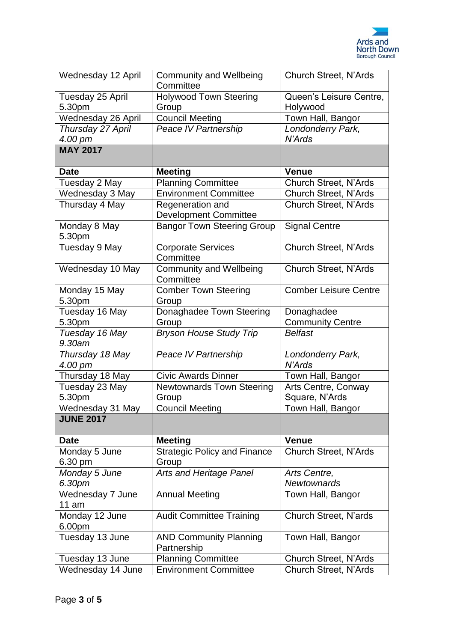

| Wednesday 12 April         | <b>Community and Wellbeing</b><br>Committee  | <b>Church Street, N'Ards</b>        |
|----------------------------|----------------------------------------------|-------------------------------------|
| Tuesday 25 April<br>5.30pm | <b>Holywood Town Steering</b><br>Group       | Queen's Leisure Centre,<br>Holywood |
| Wednesday 26 April         | <b>Council Meeting</b>                       | Town Hall, Bangor                   |
| Thursday 27 April          | Peace IV Partnership                         | Londonderry Park,                   |
| 4.00 pm                    |                                              | N'Ards                              |
| <b>MAY 2017</b>            |                                              |                                     |
|                            |                                              |                                     |
| <b>Date</b>                | <b>Meeting</b>                               | <b>Venue</b>                        |
| Tuesday 2 May              | <b>Planning Committee</b>                    | Church Street, N'Ards               |
| Wednesday 3 May            | <b>Environment Committee</b>                 | <b>Church Street, N'Ards</b>        |
| Thursday 4 May             | Regeneration and                             | <b>Church Street, N'Ards</b>        |
|                            | <b>Development Committee</b>                 |                                     |
| Monday 8 May<br>5.30pm     | <b>Bangor Town Steering Group</b>            | <b>Signal Centre</b>                |
| Tuesday 9 May              | <b>Corporate Services</b><br>Committee       | Church Street, N'Ards               |
| Wednesday 10 May           | <b>Community and Wellbeing</b><br>Committee  | <b>Church Street, N'Ards</b>        |
| Monday 15 May<br>5.30pm    | <b>Comber Town Steering</b><br>Group         | <b>Comber Leisure Centre</b>        |
| Tuesday 16 May             | Donaghadee Town Steering                     | Donaghadee                          |
| 5.30pm                     | Group                                        | <b>Community Centre</b>             |
| Tuesday 16 May<br>9.30am   | <b>Bryson House Study Trip</b>               | <b>Belfast</b>                      |
| Thursday 18 May<br>4.00 pm | Peace IV Partnership                         | Londonderry Park,<br><b>N'Ards</b>  |
| Thursday 18 May            | <b>Civic Awards Dinner</b>                   | Town Hall, Bangor                   |
| Tuesday 23 May             | <b>Newtownards Town Steering</b>             | Arts Centre, Conway                 |
| 5.30pm                     | Group                                        | Square, N'Ards                      |
| Wednesday 31 May           | <b>Council Meeting</b>                       | Town Hall, Bangor                   |
| <b>JUNE 2017</b>           |                                              |                                     |
| <b>Date</b>                | <b>Meeting</b>                               | <b>Venue</b>                        |
| Monday 5 June<br>6.30 pm   | <b>Strategic Policy and Finance</b><br>Group | <b>Church Street, N'Ards</b>        |
| Monday 5 June              | <b>Arts and Heritage Panel</b>               | Arts Centre,                        |
| 6.30pm                     |                                              | <b>Newtownards</b>                  |
| Wednesday 7 June<br>11 am  | <b>Annual Meeting</b>                        | Town Hall, Bangor                   |
| Monday 12 June<br>6.00pm   | <b>Audit Committee Training</b>              | Church Street, N'ards               |
| Tuesday 13 June            | <b>AND Community Planning</b><br>Partnership | Town Hall, Bangor                   |
| Tuesday 13 June            | <b>Planning Committee</b>                    | <b>Church Street, N'Ards</b>        |
| Wednesday 14 June          | <b>Environment Committee</b>                 | Church Street, N'Ards               |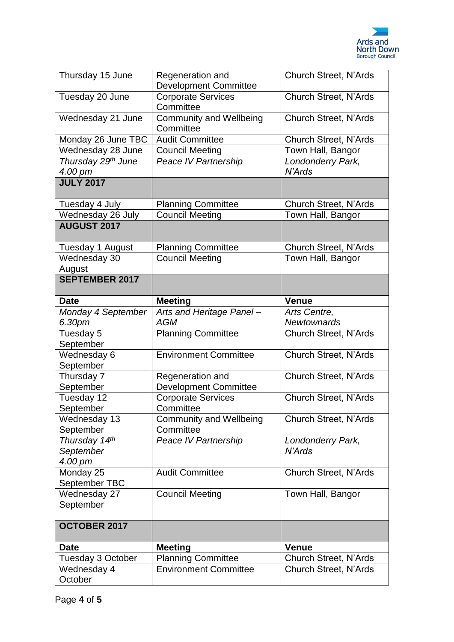

| Thursday 15 June              | Regeneration and<br><b>Development Committee</b> | <b>Church Street, N'Ards</b>       |
|-------------------------------|--------------------------------------------------|------------------------------------|
| Tuesday 20 June               | <b>Corporate Services</b><br>Committee           | <b>Church Street, N'Ards</b>       |
| Wednesday 21 June             | <b>Community and Wellbeing</b><br>Committee      | <b>Church Street, N'Ards</b>       |
| Monday 26 June TBC            | <b>Audit Committee</b>                           | <b>Church Street, N'Ards</b>       |
| Wednesday 28 June             | <b>Council Meeting</b>                           | Town Hall, Bangor                  |
| Thursday 29th June<br>4.00 pm | Peace IV Partnership                             | Londonderry Park,<br><b>N'Ards</b> |
| <b>JULY 2017</b>              |                                                  |                                    |
| Tuesday 4 July                | <b>Planning Committee</b>                        | Church Street, N'Ards              |
| Wednesday 26 July             | <b>Council Meeting</b>                           | Town Hall, Bangor                  |
| <b>AUGUST 2017</b>            |                                                  |                                    |
| Tuesday 1 August              | <b>Planning Committee</b>                        | <b>Church Street, N'Ards</b>       |
| Wednesday 30                  | <b>Council Meeting</b>                           | Town Hall, Bangor                  |
| August                        |                                                  |                                    |
| <b>SEPTEMBER 2017</b>         |                                                  |                                    |
| <b>Date</b>                   | <b>Meeting</b>                                   | <b>Venue</b>                       |
| Monday 4 September<br>6.30pm  | Arts and Heritage Panel-<br>AGM                  | Arts Centre,<br><b>Newtownards</b> |
| Tuesday 5<br>September        | <b>Planning Committee</b>                        | <b>Church Street, N'Ards</b>       |
| Wednesday 6<br>September      | <b>Environment Committee</b>                     | <b>Church Street, N'Ards</b>       |
| Thursday 7                    | Regeneration and                                 | <b>Church Street, N'Ards</b>       |
| September                     | <b>Development Committee</b>                     |                                    |
| Tuesday 12                    | <b>Corporate Services</b>                        | <b>Church Street, N'Ards</b>       |
| September                     | Committee                                        |                                    |
| Wednesday 13<br>September     | <b>Community and Wellbeing</b><br>Committee      | <b>Church Street, N'Ards</b>       |
| Thursday 14th                 | Peace IV Partnership                             | Londonderry Park,                  |
| September                     |                                                  | <b>N'Ards</b>                      |
| 4.00 pm                       |                                                  |                                    |
| Monday 25                     | <b>Audit Committee</b>                           | Church Street, N'Ards              |
| September TBC                 |                                                  |                                    |
| Wednesday 27                  | <b>Council Meeting</b>                           | Town Hall, Bangor                  |
| September                     |                                                  |                                    |
| <b>OCTOBER 2017</b>           |                                                  |                                    |
| <b>Date</b>                   | <b>Meeting</b>                                   | <b>Venue</b>                       |
| Tuesday 3 October             | <b>Planning Committee</b>                        | Church Street, N'Ards              |
| Wednesday 4                   | <b>Environment Committee</b>                     | <b>Church Street, N'Ards</b>       |
| October                       |                                                  |                                    |